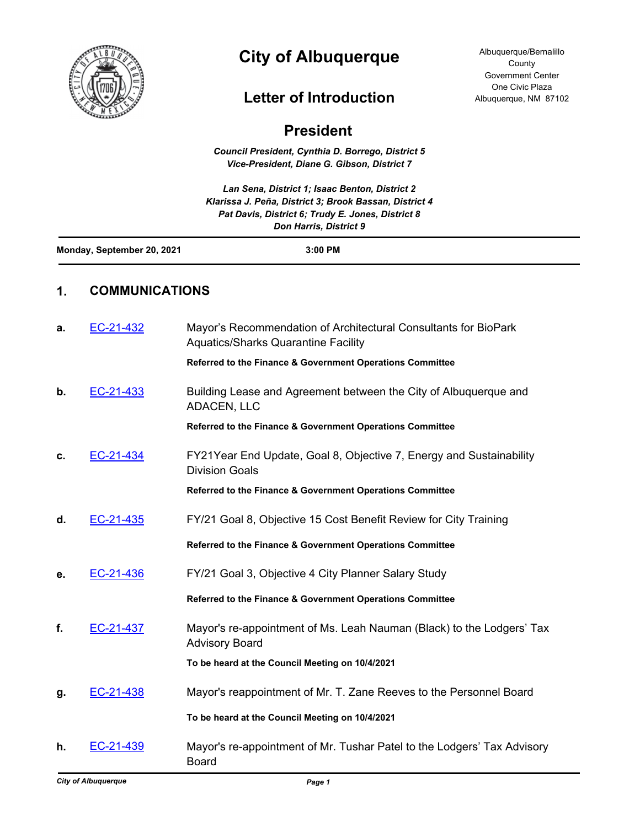

# **City of Albuquerque**

## **Letter of Introduction**

Albuquerque/Bernalillo **County** Government Center One Civic Plaza Albuquerque, NM 87102

| <b>President</b> |
|------------------|
|------------------|

*Council President, Cynthia D. Borrego, District 5 Vice-President, Diane G. Gibson, District 7*

*Lan Sena, District 1; Isaac Benton, District 2 Klarissa J. Peña, District 3; Brook Bassan, District 4 Pat Davis, District 6; Trudy E. Jones, District 8 Don Harris, District 9*

| Monday, September 20, 2021 | 3:00 PM |  |
|----------------------------|---------|--|
|                            |         |  |

### **1. COMMUNICATIONS**

| a. | EC-21-432 | Mayor's Recommendation of Architectural Consultants for BioPark<br><b>Aquatics/Sharks Quarantine Facility</b> |
|----|-----------|---------------------------------------------------------------------------------------------------------------|
|    |           | Referred to the Finance & Government Operations Committee                                                     |
| b. | EC-21-433 | Building Lease and Agreement between the City of Albuquerque and<br>ADACEN, LLC                               |
|    |           | Referred to the Finance & Government Operations Committee                                                     |
| c. | EC-21-434 | FY21Year End Update, Goal 8, Objective 7, Energy and Sustainability<br><b>Division Goals</b>                  |
|    |           | Referred to the Finance & Government Operations Committee                                                     |
| d. | EC-21-435 | FY/21 Goal 8, Objective 15 Cost Benefit Review for City Training                                              |
|    |           | Referred to the Finance & Government Operations Committee                                                     |
| е. | EC-21-436 | FY/21 Goal 3, Objective 4 City Planner Salary Study                                                           |
|    |           | Referred to the Finance & Government Operations Committee                                                     |
| f. | EC-21-437 | Mayor's re-appointment of Ms. Leah Nauman (Black) to the Lodgers' Tax<br><b>Advisory Board</b>                |
|    |           | To be heard at the Council Meeting on 10/4/2021                                                               |
| g. | EC-21-438 | Mayor's reappointment of Mr. T. Zane Reeves to the Personnel Board                                            |
|    |           | To be heard at the Council Meeting on 10/4/2021                                                               |
| h. | EC-21-439 | Mayor's re-appointment of Mr. Tushar Patel to the Lodgers' Tax Advisory<br><b>Board</b>                       |